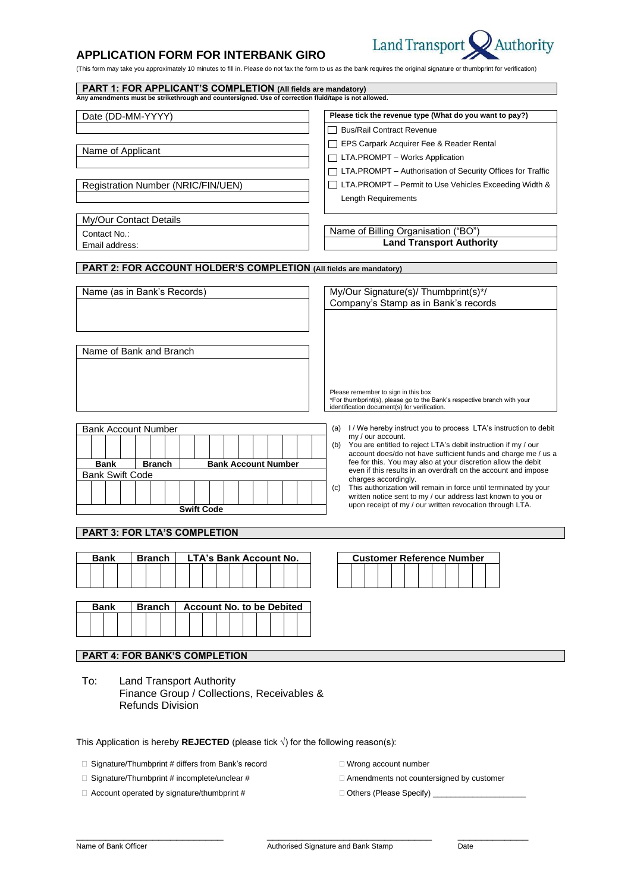## **APPLICATION FORM FOR INTERBANK GIRO**



(This form may take you approximately 10 minutes to fill in. Please do not fax the form to us as the bank requires the original signature or thumbprint for verification)

| <b>PART 1: FOR APPLICANT'S COMPLETION (All fields are mandatory)</b><br>Any amendments must be strikethrough and countersigned. Use of correction fluid/tape is not allowed. |                                                                                                                                 |
|------------------------------------------------------------------------------------------------------------------------------------------------------------------------------|---------------------------------------------------------------------------------------------------------------------------------|
| Date (DD-MM-YYYY)                                                                                                                                                            | Please tick the revenue type (What do you want to pay?)                                                                         |
|                                                                                                                                                                              | <b>Bus/Rail Contract Revenue</b>                                                                                                |
|                                                                                                                                                                              | EPS Carpark Acquirer Fee & Reader Rental                                                                                        |
| Name of Applicant                                                                                                                                                            | $\Box$ LTA.PROMPT – Works Application                                                                                           |
|                                                                                                                                                                              | $\Box$ LTA.PROMPT – Authorisation of Security Offices for Traffic                                                               |
| Registration Number (NRIC/FIN/UEN)                                                                                                                                           | □ LTA.PROMPT – Permit to Use Vehicles Exceeding Width &                                                                         |
|                                                                                                                                                                              | Length Requirements                                                                                                             |
| My/Our Contact Details                                                                                                                                                       |                                                                                                                                 |
| Contact No.:                                                                                                                                                                 | Name of Billing Organisation ("BO")                                                                                             |
| Email address:                                                                                                                                                               | <b>Land Transport Authority</b>                                                                                                 |
| PART 2: FOR ACCOUNT HOLDER'S COMPLETION (All fields are mandatory)                                                                                                           |                                                                                                                                 |
|                                                                                                                                                                              |                                                                                                                                 |
| Name (as in Bank's Records)                                                                                                                                                  | My/Our Signature(s)/ Thumbprint(s)*/                                                                                            |
|                                                                                                                                                                              | Company's Stamp as in Bank's records                                                                                            |
|                                                                                                                                                                              |                                                                                                                                 |
|                                                                                                                                                                              |                                                                                                                                 |
| Name of Bank and Branch                                                                                                                                                      |                                                                                                                                 |
|                                                                                                                                                                              |                                                                                                                                 |
|                                                                                                                                                                              |                                                                                                                                 |
|                                                                                                                                                                              | Please remember to sign in this box                                                                                             |
|                                                                                                                                                                              | *For thumbprint(s), please go to the Bank's respective branch with your                                                         |
|                                                                                                                                                                              | identification document(s) for verification.                                                                                    |
| <b>Bank Account Number</b>                                                                                                                                                   | (a) I / We hereby instruct you to process LTA's instruction to debit                                                            |
|                                                                                                                                                                              | my / our account.<br>You are entitled to reject LTA's debit instruction if my / our<br>(b)                                      |
|                                                                                                                                                                              | account does/do not have sufficient funds and charge me / us a                                                                  |
| <b>Branch</b><br><b>Bank</b><br><b>Bank Account Number</b><br><b>Bank Swift Code</b>                                                                                         | fee for this. You may also at your discretion allow the debit<br>even if this results in an overdraft on the account and impose |
|                                                                                                                                                                              | charges accordingly.<br>This authorization will remain in force until terminated by your<br>(c)                                 |
|                                                                                                                                                                              | written notice sent to my / our address last known to you or                                                                    |
| <b>Swift Code</b>                                                                                                                                                            | upon receipt of my / our written revocation through LTA.                                                                        |
|                                                                                                                                                                              |                                                                                                                                 |
| <b>PART 3: FOR LTA'S COMPLETION</b>                                                                                                                                          |                                                                                                                                 |
| <b>Bank</b><br><b>Branch</b><br><b>LTA's Bank Account No.</b>                                                                                                                | <b>Customer Reference Number</b>                                                                                                |
|                                                                                                                                                                              |                                                                                                                                 |
|                                                                                                                                                                              |                                                                                                                                 |
|                                                                                                                                                                              |                                                                                                                                 |
| <b>Account No. to be Debited</b><br>Bank<br><b>Branch</b>                                                                                                                    |                                                                                                                                 |
|                                                                                                                                                                              |                                                                                                                                 |
|                                                                                                                                                                              |                                                                                                                                 |
|                                                                                                                                                                              |                                                                                                                                 |
| <b>PART 4: FOR BANK'S COMPLETION</b>                                                                                                                                         |                                                                                                                                 |
|                                                                                                                                                                              |                                                                                                                                 |

To: Land Transport Authority Finance Group / Collections, Receivables & Refunds Division

This Application is hereby **REJECTED** (please tick √) for the following reason(s):

 $\Box$  Signature/Thumbprint # differs from Bank's record  $\Box$  Wrong account number

- 
- $\Box$  Account operated by signature/thumbprint #  $\Box$  Others (Please Specify)  $\Box$
- 
- $\Box$  Signature/Thumbprint # incomplete/unclear #  $\Box$  Amendments not countersigned by customer
	-

\_\_\_\_\_\_\_\_\_\_\_\_\_\_\_\_\_\_\_\_\_\_\_\_\_ \_\_\_\_\_\_\_\_\_\_\_\_\_\_\_\_\_\_\_\_\_\_\_\_\_\_\_\_ \_\_\_\_\_\_\_\_\_\_\_\_